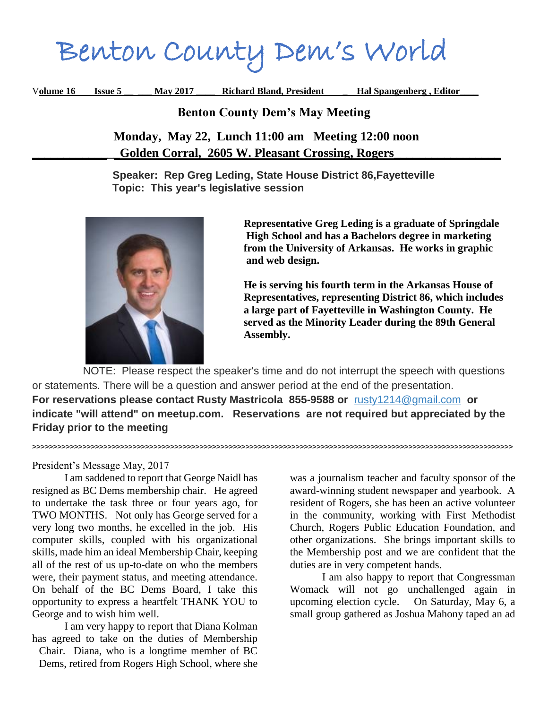# Benton County Dem's World

Volume 16 **Issue 5** May 2017 Richard Bland, President Hal Spangenberg, Editor

# **Benton County Dem's May Meeting**

 **Monday, May 22, Lunch 11:00 am Meeting 12:00 noon \_Golden Corral, 2605 W. Pleasant Crossing, Rogers\_** 

**Speaker: Rep Greg Leding, State House District 86,Fayetteville Topic: This year's legislative session**



**Representative Greg Leding is a graduate of Springdale High School and has a Bachelors degree in marketing from the University of Arkansas. He works in graphic and web design.**

**He is serving his fourth term in the Arkansas House of Representatives, representing District 86, which includes a large part of Fayetteville in Washington County. He served as the Minority Leader during the 89th General Assembly.**

 NOTE: Please respect the speaker's time and do not interrupt the speech with questions or statements. There will be a question and answer period at the end of the presentation. **For reservations please contact Rusty Mastricola 855-9588 or** [rusty1214@gmail.com](mailto:rusty1214@gmail.com?subject=BC%20Dems%20Meeting%20Reservation) **or indicate "will attend" on meetup.com. Reservations are not required but appreciated by the Friday prior to the meeting**

**>>>>>>>>>>>>>>>>>>>>>>>>>>>>>>>>>>>>>>>>>>>>>>>>>>>>>>>>>>>>>>>>>>>>>>>>>>>>>>>>>>>>>>>>>>>>>>>>>>>>>>>>>>>>>>>>>>>**

President's Message May, 2017

I am saddened to report that George Naidl has resigned as BC Dems membership chair. He agreed to undertake the task three or four years ago, for TWO MONTHS. Not only has George served for a very long two months, he excelled in the job. His computer skills, coupled with his organizational skills, made him an ideal Membership Chair, keeping all of the rest of us up-to-date on who the members were, their payment status, and meeting attendance. On behalf of the BC Dems Board, I take this opportunity to express a heartfelt THANK YOU to George and to wish him well.

I am very happy to report that Diana Kolman has agreed to take on the duties of Membership Chair. Diana, who is a longtime member of BC Dems, retired from Rogers High School, where she

was a journalism teacher and faculty sponsor of the award-winning student newspaper and yearbook. A resident of Rogers, she has been an active volunteer in the community, working with First Methodist Church, Rogers Public Education Foundation, and other organizations. She brings important skills to the Membership post and we are confident that the duties are in very competent hands.

I am also happy to report that Congressman Womack will not go unchallenged again in upcoming election cycle. On Saturday, May 6, a small group gathered as Joshua Mahony taped an ad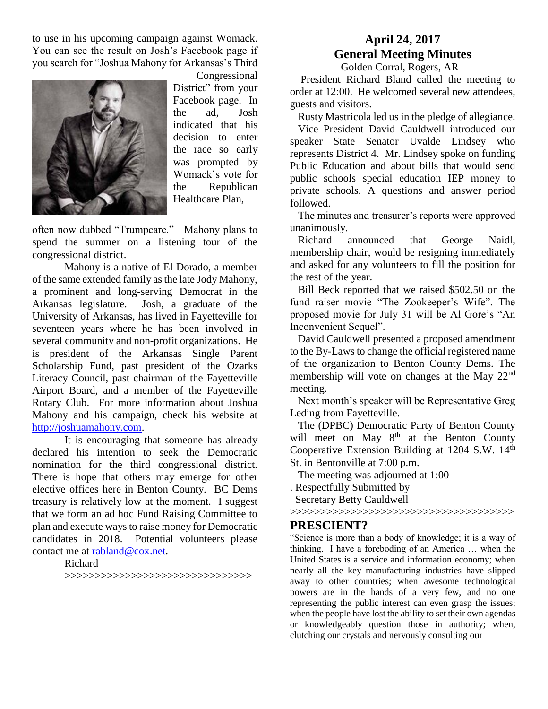to use in his upcoming campaign against Womack. You can see the result on Josh's Facebook page if you search for "Joshua Mahony for Arkansas's Third



Congressional District" from your Facebook page. In the ad, Josh indicated that his decision to enter the race so early was prompted by Womack's vote for the Republican Healthcare Plan,

often now dubbed "Trumpcare." Mahony plans to spend the summer on a listening tour of the congressional district.

Mahony is a native of El Dorado, a member of the same extended family as the late Jody Mahony, a prominent and long-serving Democrat in the Arkansas legislature. Josh, a graduate of the University of Arkansas, has lived in Fayetteville for seventeen years where he has been involved in several community and non-profit organizations. He is president of the Arkansas Single Parent Scholarship Fund, past president of the Ozarks Literacy Council, past chairman of the Fayetteville Airport Board, and a member of the Fayetteville Rotary Club. For more information about Joshua Mahony and his campaign, check his website at [http://joshuamahony.com.](http://joshuamahony.com/)

It is encouraging that someone has already declared his intention to seek the Democratic nomination for the third congressional district. There is hope that others may emerge for other elective offices here in Benton County. BC Dems treasury is relatively low at the moment. I suggest that we form an ad hoc Fund Raising Committee to plan and execute ways to raise money for Democratic candidates in 2018. Potential volunteers please contact me at [rabland@cox.net.](mailto:rabland@cox.net)

#### Richard

>>>>>>>>>>>>>>>>>>>>>>>>>>>>>>>

# **April 24, 2017 General Meeting Minutes**

Golden Corral, Rogers, AR

 President Richard Bland called the meeting to order at 12:00. He welcomed several new attendees, guests and visitors.

Rusty Mastricola led us in the pledge of allegiance.

 Vice President David Cauldwell introduced our speaker State Senator Uvalde Lindsey who represents District 4. Mr. Lindsey spoke on funding Public Education and about bills that would send public schools special education IEP money to private schools. A questions and answer period followed.

 The minutes and treasurer's reports were approved unanimously.

 Richard announced that George Naidl, membership chair, would be resigning immediately and asked for any volunteers to fill the position for the rest of the year.

 Bill Beck reported that we raised \$502.50 on the fund raiser movie "The Zookeeper's Wife". The proposed movie for July 31 will be Al Gore's "An Inconvenient Sequel".

 David Cauldwell presented a proposed amendment to the By-Laws to change the official registered name of the organization to Benton County Dems. The membership will vote on changes at the May 22<sup>nd</sup> meeting.

 Next month's speaker will be Representative Greg Leding from Fayetteville.

 The (DPBC) Democratic Party of Benton County will meet on May 8<sup>th</sup> at the Benton County Cooperative Extension Building at 1204 S.W. 14<sup>th</sup> St. in Bentonville at 7:00 p.m.

The meeting was adjourned at 1:00

- . Respectfully Submitted by
- Secretary Betty Cauldwell

#### >>>>>>>>>>>>>>>>>>>>>>>>>>>>>>>>>>>>>

## **PRESCIENT?**

"Science is more than a body of knowledge; it is a way of thinking. I have a foreboding of an America … when the United States is a service and information economy; when nearly all the key manufacturing industries have slipped away to other countries; when awesome technological powers are in the hands of a very few, and no one representing the public interest can even grasp the issues; when the people have lost the ability to set their own agendas or knowledgeably question those in authority; when, clutching our crystals and nervously consulting our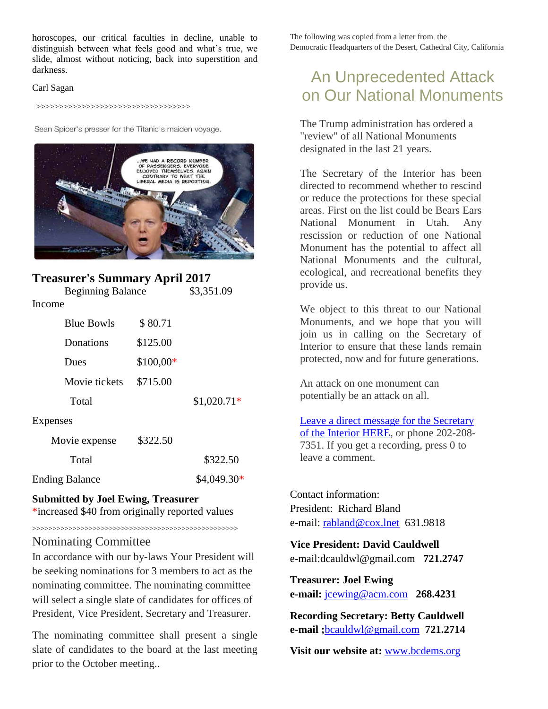horoscopes, our critical faculties in decline, unable to distinguish between what feels good and what's true, we slide, almost without noticing, back into superstition and darkness.

#### Carl Sagan

>>>>>>>>>>>>>>>>>>>>>>>>>>>>>>>>>>

Sean Spicer's presser for the Titanic's maiden voyage.



# **Treasurer's Summary April 2017**

| $11$ cabul of b building $\frac{1}{2}$ $\frac{1}{2}$ $\frac{1}{2}$ $\frac{1}{2}$ |                          |              |
|----------------------------------------------------------------------------------|--------------------------|--------------|
|                                                                                  | <b>Beginning Balance</b> |              |
| Income                                                                           |                          |              |
| <b>Blue Bowls</b>                                                                | \$80.71                  |              |
| Donations                                                                        | \$125.00                 |              |
| Dues                                                                             | $$100,00*$               |              |
| Movie tickets                                                                    | \$715.00                 |              |
| Total                                                                            |                          | $$1,020.71*$ |
| Expenses                                                                         |                          |              |
| Movie expense                                                                    | \$322.50                 |              |
| Total                                                                            |                          | \$322.50     |
| <b>Ending Balance</b>                                                            |                          | $$4,049.30*$ |

# **Submitted by Joel Ewing, Treasurer** \*increased \$40 from originally reported values

>>>>>>>>>>>>>>>>>>>>>>>>>>>>>>>>>>>>>>>>>>>>>>>>>>>

### Nominating Committee

In accordance with our by-laws Your President will be seeking nominations for 3 members to act as the nominating committee. The nominating committee will select a single slate of candidates for offices of President, Vice President, Secretary and Treasurer.

The nominating committee shall present a single slate of candidates to the board at the last meeting prior to the October meeting..

The following was copied from a letter from the Democratic Headquarters of the Desert, Cathedral City, California

# An Unprecedented Attack on Our National Monuments

The Trump administration has ordered a "review" of all National Monuments designated in the last 21 years.

The Secretary of the Interior has been directed to recommend whether to rescind or reduce the protections for these special areas. First on the list could be Bears Ears National Monument in Utah. Any rescission or reduction of one National Monument has the potential to affect all National Monuments and the cultural, ecological, and recreational benefits they provide us.

We object to this threat to our National Monuments, and we hope that you will join us in calling on the Secretary of Interior to ensure that these lands remain protected, now and for future generations.

An attack on one monument can potentially be an attack on all.

[Leave a direct message for the Secretary](https://www.doi.gov/contact-us)  [of the Interior HERE,](https://www.doi.gov/contact-us) or phone 202-208- 7351. If you get a recording, press 0 to leave a comment.

Contact information: President: Richard Bland e-mail: [rabland@cox.lnet](mailto:rabland@cox.lnet) 631.9818

## **Vice President: David Cauldwell**  e-mail:dcauldwl@gmail.com **721.2747**

**Treasurer: Joel Ewing e-mail:** [jcewing@acm.com](mailto:jcewing@acm.com) **268.4231**

**Recording Secretary: Betty Cauldwell e-mail ;**[bcauldwl@gmail.com](mailto:bcauldwl@gmail.com) **721.2714** 

**Visit our website at:** [www.bcdems.org](http://www.bcdems.org/)